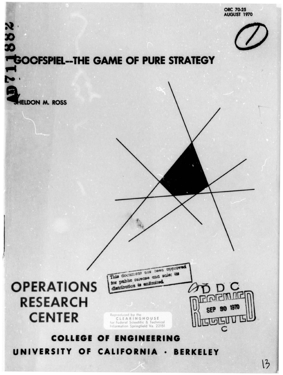ORC 70.25 **AUGUST 1970** 



# N<br>20<br>20<br>TGOOFSPIEL--THE GAME OF PURE STRATEGY

**ELDON M. ROSS** 



This document sox base opproved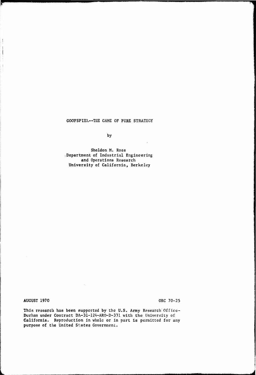GOOFSPIEL—THE GAME OF PURE STRATEGY

by

 $\alpha$ 

Sheldon M. Ross .Department of Industrial Engineering and Operations Research University of California, Berkeley

AUGUST 1970 ORC 70-25

ì

 $\frac{1}{4}$ 

 $\frac{1}{2}$ 

 $\overline{\phantom{a}}$ 

**Ml**

This research has been supported by the U.S. Army Research Office-Durham under Contract DA-31-124-ARO-D-331 with the University of California. Reproduction in whole or in part is permitted for any purpose of the United St.ates Government.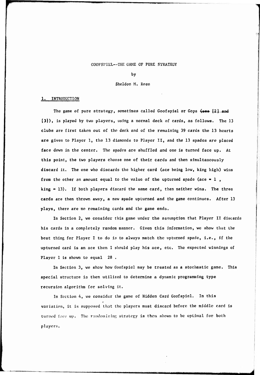# GOOFSPIEL--THE GAME OF PURE STRATEGY

by

### Sheldon M. Ross

### 1. INTRODUCTION

The game of pure strategy, sometimes called Goofspiel or Gops (see [2] and [3]), is played by two players, using a normal deck of cards, as follows. The 13 clubs are first taken out of the deck and of the remaining <sup>39</sup> cards the <sup>13</sup> hearts are given to Player 1, the <sup>13</sup> diamonds to Player II, and the <sup>13</sup> spades are placed face down in the center. The spades are shuffled and one is turned face up. At this point, the two players choose one of their cards and then simultaneously discard it. The one who discards the higher card (ace being low, king high) wins from the other an amount equal to the value of the upturned spade (ace =  $1$ , king <sup>=</sup> 13). If both players discard the same card, then neither wins. The three cards are then thrown away, a new spade upturned and the game continues. After <sup>13</sup> plays, there are no remaining cards and the game ends.

In Section 2, we consider this game under the assumption that Player II discards his cards in a completely random manner. Given this information, we show that the best thing for Player I to do is to always match the upturned spade, i.e., if the upturned card is an ace then I should play his ace, etc. The expected winnings of Player I is shown to equal 28 .

In Section 3, we show how Goofspiel may be treated as a stochastic game. This special structure is then utilized to determine a dynamic programming type recursion algorithm for solving it.

In Section 4, we consider the game of Hidden Card Goofspiel. In this variation, it is supposed that the players must discard before the middle card is turned face up. The randomizing strategy is then shown to be optimal for both players.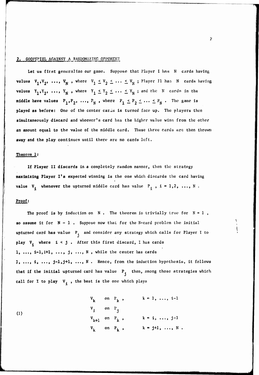# 2. GOOFSPIEL AGAINST A RANDOMIZING OPPONENT

**Let u» first generalize our game. Suppose that I'layer <sup>I</sup> has N cards having** values  $V_1, V_2, ..., V_N$ , where  $V_1 \le V_2 \le ... \le V_N$ ; Player Il has N cards having values  $Y_1, Y_2, ..., Y_N$ , where  $Y_1 \leq Y_2 \leq ... \leq Y_N$ ; and the N cards in the **middle** have values  $P_1, P_2, \ldots, P_N$ , where  $P_1 \leq P_2 \leq \ldots \leq P_N$ . The game is **played as before: One of the center car as Is turned face up. The players then simultaneously discard and whoever's card has the higlirr value wins from the other an amount equal to the value of the middle card. These three cards arc then thrown away and the play continues until there are no cards left.**

## **Theorem 1;**

**If Player II discards** in <sup>a</sup> completely random manner, then the strategy **maximizing Player 1\*8** expected winning Is the one which discards the card having **value**  $V_i$  whenever the upturned middle card has value  $P_i$ ,  $i = 1, 2, ..., N$ .

# **Proof:**

**The proof** is by **induction** on  $N$ . The theorem is trivially true for  $N = 1$ , **so assume it for N - 1 . Suppose now that for the N-card problem the initial upturned card has value P and consider any strategy which calls for Player <sup>I</sup> to play V. where i < j , After this first discard, <sup>I</sup> has cards 1, ..., i-1,1+1 j, ..., <sup>N</sup> , while the center has cards 1, ..., i, ..., j"lfj+l» •••» N . Hence, from the induction hypothesis, it follows that if the initial upturned card has value P then, among those strategies which call for I to play V, , the best Is the one which plays**

(1)  
\n
$$
V_{k} \text{ on } P_{k}, \qquad k = 1, ..., i-1
$$
\n
$$
V_{j} \text{ on } P_{j}
$$
\n
$$
V_{k+1} \text{ on } P_{k}, \qquad k = 1, ..., j-1
$$
\n
$$
V_{k} \text{ on } P_{k}, \qquad k = j+1, ..., N.
$$

um *in die voors*te kelede kom *van die deel het in de kele deel gevol* en het *kom en gedui* en met het het te geduik as afgele a<sup>fge</sup>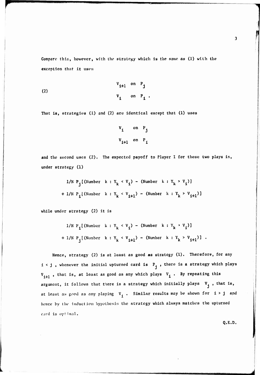Compare this, however, with the strategy which is the same as (1) with the exception that it usea

(2) 
$$
V_{1+1} \text{ on } P_{j}
$$

$$
V_{1} \text{ on } P_{1}.
$$

That is, strategies (1) and (2) are identical except that (1) uses

$$
v_{1} \quad \text{on} \quad P_{j}
$$
  

$$
v_{i+1} \quad \text{on} \quad P_{i}
$$

and the second uses (2). The expected payoff to Player I for these two plays is, under strategy (1)

1/N <sup>P</sup> [(Number <sup>k</sup> ! <sup>Y</sup> <sup>k</sup> <sup>&</sup>lt; V <sup>~</sup> (Number k : Y k <sup>&</sup>gt; V 1 + 1/N P.l (Number k : Yk <sup>&</sup>lt; Vi+1) - (Number k : Yk <sup>&</sup>gt; Vi+1)]

while under strategy (2) it is

1/N <sup>P</sup> [(Number <sup>k</sup> : ^ <sup>&</sup>lt; V " ( Number <sup>k</sup> : <sup>Y</sup><sup>k</sup> <sup>&</sup>gt; <sup>V</sup>i)l + 1/N <sup>P</sup> [(Number <sup>k</sup> : <sup>Y</sup><sup>k</sup> <sup>&</sup>lt; *<sup>V</sup>i+l) -* (Number <sup>k</sup> <sup>s</sup> \ <sup>&</sup>gt; v i+1)l •

Hence, strategy (2) is at least as good as strategy (1). Therefore, for any  $1 < j$ , whenever the initial upturned card is  $P_i$ , there is a strategy which plays  $V_{i+1}$ , that is, at least as good as any which plays  $V_i$ . By repeating this argument, it follows that there is a strategy which initially plays  $V_j$ , that is, at least as good as any playing  $V_i$ . Similar results may be shown for i > j and hence by the induction hypothesis the strategy which always matches the upturned card is optimal.

Q.E.D.

**a\_alBH^BMiaiB**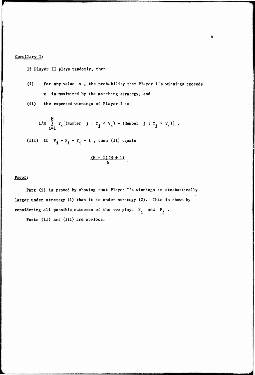# Corollary 1;

If Player II plays randomly, then

- (i) **for any** value x , the prohability that Player I's winnings exceeds x is maximized by the matching strategy, and
- (II) **the** expected winnings of Player <sup>1</sup> is

1/N 
$$
\sum_{i=1}^{N} P_i [ (Number \ j : Y_j < V_i) - (Number \ j : Y_j > V_i) ]
$$
.

(**III**) If  $V_1 = P_1 = Y_1 = 1$ , then (**11**) equals

$$
\frac{(N-1)(N+1)}{6}
$$

# **Proof;**

**Part** (1) is proved by showing that Player I's winnings is stochastically **larger under** strategy (1) than it is under strategy (2). This is shown by considering all possible outcomes of the two plays  $P_i$  and  $P_j$ .

Parts (ii) and (iii) are obvious.

**BBaaiaHHBaaHaMaMaaBaKM,^BaaHHaMHMMi^** *J*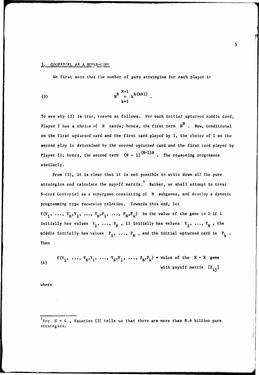### 3. GOOFSPIEL AS A SUPER-GAME

We first note that the number **of pure strategies for each** player is

(3) 
$$
N^{N-1} \underset{k=1}{\overset{N-1}{\pi}} k^{k(k+1)}.
$$

**To see why (3) is truo, reason as follows. For each initial upturned middle card, N Player <sup>I</sup> has a choice of N cards; hence, the first term N . Now, conditional on the first upturned card and the first card played by I, the choice of 1 on the second piny i« determined by the second upturned card and the first card played by Player I1;** hence, the second term  $(N - 1)$  $(N-1)N$ . The reasoning progresses **similarly.**

**From (3), it is clear that it is not possible to write down all the pure strategies and calculate the payoff matrix. Rather, we shall attempt to treat**  $N$ -card **Goofspiel** as a supergame consisting of  $N$  subgames, and develop a dynamic **programming type recursion relation. Towards this end, let**  $f(V_1, ..., V_N, Y_1, ..., Y_N, P_1, ..., P_N, P_k)$  be the value of the game to I if 1 **initially** has values  $V_1$ , ...,  $V_N$ , II **initially** has values  $Y_1$ , ...,  $Y_N$ , the **middle initially has values P., ..., P.. , and the initial upturned card is P. . Then**

$$
f(V_1, ..., V_N, Y_1, ..., Y_N, P_1, ..., P_N, P_k) = \text{value of the } N \times N \text{ game}
$$
  
with payoff matrix  $[X_{14}]$ 

**where**

<sup>4.</sup> **For N = A , Equation (3) tells us that there are more than 8.4 billion pure strategies.**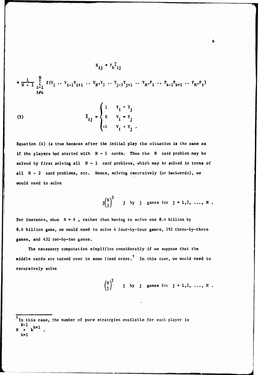$$
x_{1j} = P_k \overline{\delta}_{1j}
$$
  
+  $\frac{1}{N-1} \sum_{\substack{\ell=1 \\ \ell \neq k}}^{N} f(v_1 \cdots v_{i-1} v_{i+1} \cdots v_N, v_1 \cdots v_{j-1} v_{j+1} \cdots v_N, P_1 \cdots P_{k-1} P_{k+1} \cdots P_N, P_{k})$ 

(5) 
$$
\overline{\delta}_{ij} = \begin{cases} 1 & v_i > v_j \\ 0 & v_i = v_j \\ -1 & v_i < v_j \end{cases}
$$

**Equation (4) Is true because after the initial play the situation is the same as if the players had started with <sup>N</sup> - <sup>1</sup> cards. Thus the <sup>N</sup> card problem may be solved by first solving all <sup>N</sup> - <sup>1</sup> card problems, which may be solved in terms of all <sup>N</sup> - <sup>2</sup> card problems, etc. Hence, solving recursively (or backward«), we would need to solve**

$$
j{n \choose j}^3 \qquad j \quad \text{by} \quad j \quad \text{games for} \quad j = 1, 2, \ldots, N \; .
$$

6

For instance, when  $N = 4$ , rather than having to solve one 8.4 billion by 8.A billion game, we would need to solve A four-by-four games, 192 three-by-three **games,** and A32 tvo-by-two games.

The necessary computation simplifies considerably if we suppose that the middle cards are turned over in some fixed order.<sup>†</sup> In this case, we would need to recursively solve

> $\sqrt{N}$ j by j games for  $j = 1, 2, \ldots, N$ . **(")**

 $k=1$ 

 $<sup>†</sup>$  In this case, the number of pure strategies available for each player is</sup>  $N^{N-1}$   $k^{k+1}$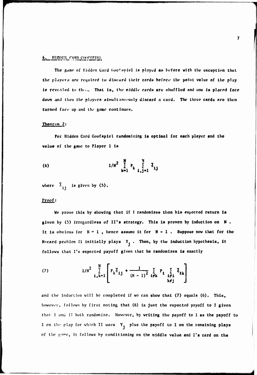# HIDDEN CARD COOPSPIEL

The game of Hidden Card Goofspiel is played as before with the exception that the players are required to discard their cards before the point value of the play is revealed to then. That is, the middle cards are shuffled and one is placed face down and then the players simultaneously discard a card. The three cards are then turned face up and the game continues.

# Theorem 2:

For Hidden Card Goofspiel rundomizing is optimal for each player and the value of the game to Player 1 is

(6) 
$$
1/N^2 \sum_{k=1}^{N} P_k \sum_{i,j=1}^{N} \delta_{ij}
$$

where  $\overline{\delta}_{11}$  is given by (5).

## Proof:

We prove this by showing that if I randomizes then his expected return is given by (5) irregardless of II's strategy. This is proven by induction on N. It is obvious for  $N-1$ , hence assume it for  $N-1$ . Suppose now that for the N-card problem Il initially plays  $Y_1$ . Then, by the induction hypothesis, it follows that I's expected payoff given that he randomizes is exactly

(7) 
$$
1/N^2 \sum_{i,k=1}^N \left[ P_k \overline{\delta}_{ij} + \frac{1}{(N-1)^2} \sum_{\ell \neq k} P_\ell \sum_{\substack{\ell \neq i \\ k \neq j}} \overline{\delta}_{\ell k} \right]
$$

and the induction will be completed if we can show that (7) equals (6). This, however, follows by first noting that (6) is just the expected payoff to I given that I and II both randomize. However, by writing the payoff to I as the payoff to I on the play for which II uses Y<sub>j</sub> plus the payoff to I on the remaining plays of the game, it follows by conditioning on the middle value and I's card on the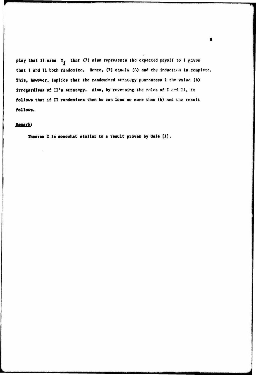play that II uses  $Y_1$  that (7) also represents the expected payoff to I given that I and II both randomize. Hence, (7) equals (6) and the induction is complete. This, however, implies that the randomized strategy guarantees I the value (6) irregardless of II's strategy. Also, by reversing the roles of I and II, it follows that if II randomizes then he can lose no more than (6) and the result follows.

# Remark:

Theorem 2 is somewhat similar to a result proven by Gale [1].

 $\bf{8}$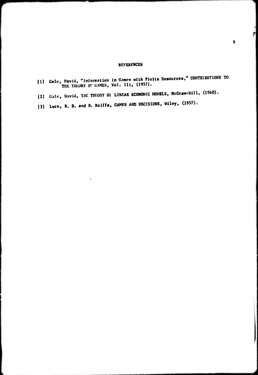# **REFERENCES**

| [1] Gale, David, "Information in Games with Finite Resources," CONIRIDUITORS TO<br>THE THEORY OF GAMES, Vol. 111, (1957). |
|---------------------------------------------------------------------------------------------------------------------------|
| [2] Gale, David, THE THEORY OF LINEAR ECONOMIC MODELS, McGraw-Hill, (1960).                                               |
| [3] Luce, R. D. and H. Raiffa, GAMES AND DECISIONS, Wiley, (1957).                                                        |

 $\ddot{\phantom{a}}$ 

--

f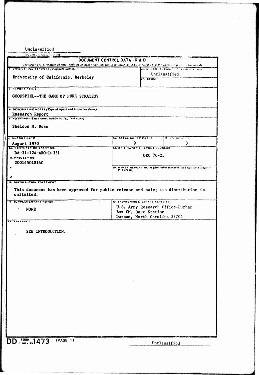Unclassified

 $\cdot$   $\cdot$   $\cdot$   $\cdot$ 

| and called a property attem-                              | DOCUMENT CONTROL DATA - R & D<br>(Security classification of title, body of abstract and indexing annotation must be entered when the overall report ( classified)<br>28. REPORT SECURITY CLASSIFICATION<br>Unclassified<br>26. GHOUH<br>78. TOTAL NO. OF PAGES<br>Th. NO. OF REES<br>9<br>3<br><b>VA. ORIGINATOR'S HEPOHT NUMBER(S)</b><br>ORC 70-25<br>96. OTHER REPORT NO(5) (Any other numbers that may be assigned<br>this report)<br>This document has been approved for public release and sale; its distribution is<br>12. SPONSORING MILITARY ACTIVITY |  |  |  |  |  |  |  |  |  |
|-----------------------------------------------------------|-----------------------------------------------------------------------------------------------------------------------------------------------------------------------------------------------------------------------------------------------------------------------------------------------------------------------------------------------------------------------------------------------------------------------------------------------------------------------------------------------------------------------------------------------------------------|--|--|--|--|--|--|--|--|--|
|                                                           |                                                                                                                                                                                                                                                                                                                                                                                                                                                                                                                                                                 |  |  |  |  |  |  |  |  |  |
| CONTON-A TING ACTIVITY (Corporate outhor)                 |                                                                                                                                                                                                                                                                                                                                                                                                                                                                                                                                                                 |  |  |  |  |  |  |  |  |  |
|                                                           |                                                                                                                                                                                                                                                                                                                                                                                                                                                                                                                                                                 |  |  |  |  |  |  |  |  |  |
| University of California, Berkeley                        |                                                                                                                                                                                                                                                                                                                                                                                                                                                                                                                                                                 |  |  |  |  |  |  |  |  |  |
|                                                           |                                                                                                                                                                                                                                                                                                                                                                                                                                                                                                                                                                 |  |  |  |  |  |  |  |  |  |
|                                                           |                                                                                                                                                                                                                                                                                                                                                                                                                                                                                                                                                                 |  |  |  |  |  |  |  |  |  |
| J. NI.PONT TITLE                                          |                                                                                                                                                                                                                                                                                                                                                                                                                                                                                                                                                                 |  |  |  |  |  |  |  |  |  |
| <b>GOOFSPIEL--THE GAME OF PURE STRATEGY</b>               |                                                                                                                                                                                                                                                                                                                                                                                                                                                                                                                                                                 |  |  |  |  |  |  |  |  |  |
|                                                           |                                                                                                                                                                                                                                                                                                                                                                                                                                                                                                                                                                 |  |  |  |  |  |  |  |  |  |
|                                                           |                                                                                                                                                                                                                                                                                                                                                                                                                                                                                                                                                                 |  |  |  |  |  |  |  |  |  |
| 4. DESCRIPTIVE NOTES (Type of report and inclusive dates) |                                                                                                                                                                                                                                                                                                                                                                                                                                                                                                                                                                 |  |  |  |  |  |  |  |  |  |
| Research Report                                           |                                                                                                                                                                                                                                                                                                                                                                                                                                                                                                                                                                 |  |  |  |  |  |  |  |  |  |
| 6 AUTHORISI (First name, middle initial, last name)       |                                                                                                                                                                                                                                                                                                                                                                                                                                                                                                                                                                 |  |  |  |  |  |  |  |  |  |
|                                                           |                                                                                                                                                                                                                                                                                                                                                                                                                                                                                                                                                                 |  |  |  |  |  |  |  |  |  |
| Sheldon M. Ross                                           |                                                                                                                                                                                                                                                                                                                                                                                                                                                                                                                                                                 |  |  |  |  |  |  |  |  |  |
|                                                           |                                                                                                                                                                                                                                                                                                                                                                                                                                                                                                                                                                 |  |  |  |  |  |  |  |  |  |
| <b>I HLPOHT DATE</b>                                      |                                                                                                                                                                                                                                                                                                                                                                                                                                                                                                                                                                 |  |  |  |  |  |  |  |  |  |
| August 1970                                               |                                                                                                                                                                                                                                                                                                                                                                                                                                                                                                                                                                 |  |  |  |  |  |  |  |  |  |
| <b>BU. CONTILACT OR GRANT NO.</b>                         |                                                                                                                                                                                                                                                                                                                                                                                                                                                                                                                                                                 |  |  |  |  |  |  |  |  |  |
| DA-31-124-ARO-D-331                                       |                                                                                                                                                                                                                                                                                                                                                                                                                                                                                                                                                                 |  |  |  |  |  |  |  |  |  |
| <b>b. PROJECT NO.</b>                                     |                                                                                                                                                                                                                                                                                                                                                                                                                                                                                                                                                                 |  |  |  |  |  |  |  |  |  |
| 20014501B14C                                              |                                                                                                                                                                                                                                                                                                                                                                                                                                                                                                                                                                 |  |  |  |  |  |  |  |  |  |
| e.                                                        |                                                                                                                                                                                                                                                                                                                                                                                                                                                                                                                                                                 |  |  |  |  |  |  |  |  |  |
|                                                           |                                                                                                                                                                                                                                                                                                                                                                                                                                                                                                                                                                 |  |  |  |  |  |  |  |  |  |
| d.                                                        |                                                                                                                                                                                                                                                                                                                                                                                                                                                                                                                                                                 |  |  |  |  |  |  |  |  |  |
| <b>10. DISTRIBUTION STATEMENT</b>                         |                                                                                                                                                                                                                                                                                                                                                                                                                                                                                                                                                                 |  |  |  |  |  |  |  |  |  |
|                                                           |                                                                                                                                                                                                                                                                                                                                                                                                                                                                                                                                                                 |  |  |  |  |  |  |  |  |  |
|                                                           |                                                                                                                                                                                                                                                                                                                                                                                                                                                                                                                                                                 |  |  |  |  |  |  |  |  |  |
| unlimited.                                                |                                                                                                                                                                                                                                                                                                                                                                                                                                                                                                                                                                 |  |  |  |  |  |  |  |  |  |
| <b>11. SUPPLEMENTARY NOTES</b>                            |                                                                                                                                                                                                                                                                                                                                                                                                                                                                                                                                                                 |  |  |  |  |  |  |  |  |  |
| <b>NONE</b><br>$\pmb{\epsilon}$                           | U.S. Army Research Office-Durham                                                                                                                                                                                                                                                                                                                                                                                                                                                                                                                                |  |  |  |  |  |  |  |  |  |
|                                                           | Box CM, Duke Station                                                                                                                                                                                                                                                                                                                                                                                                                                                                                                                                            |  |  |  |  |  |  |  |  |  |
|                                                           | Durham, North Carolina 27706                                                                                                                                                                                                                                                                                                                                                                                                                                                                                                                                    |  |  |  |  |  |  |  |  |  |
| <b>13. ABSTRACT</b>                                       |                                                                                                                                                                                                                                                                                                                                                                                                                                                                                                                                                                 |  |  |  |  |  |  |  |  |  |
|                                                           |                                                                                                                                                                                                                                                                                                                                                                                                                                                                                                                                                                 |  |  |  |  |  |  |  |  |  |
| SEE INTRODUCTION.                                         |                                                                                                                                                                                                                                                                                                                                                                                                                                                                                                                                                                 |  |  |  |  |  |  |  |  |  |
|                                                           |                                                                                                                                                                                                                                                                                                                                                                                                                                                                                                                                                                 |  |  |  |  |  |  |  |  |  |
|                                                           |                                                                                                                                                                                                                                                                                                                                                                                                                                                                                                                                                                 |  |  |  |  |  |  |  |  |  |
|                                                           |                                                                                                                                                                                                                                                                                                                                                                                                                                                                                                                                                                 |  |  |  |  |  |  |  |  |  |
|                                                           |                                                                                                                                                                                                                                                                                                                                                                                                                                                                                                                                                                 |  |  |  |  |  |  |  |  |  |
|                                                           |                                                                                                                                                                                                                                                                                                                                                                                                                                                                                                                                                                 |  |  |  |  |  |  |  |  |  |
|                                                           |                                                                                                                                                                                                                                                                                                                                                                                                                                                                                                                                                                 |  |  |  |  |  |  |  |  |  |
|                                                           |                                                                                                                                                                                                                                                                                                                                                                                                                                                                                                                                                                 |  |  |  |  |  |  |  |  |  |
|                                                           |                                                                                                                                                                                                                                                                                                                                                                                                                                                                                                                                                                 |  |  |  |  |  |  |  |  |  |
|                                                           |                                                                                                                                                                                                                                                                                                                                                                                                                                                                                                                                                                 |  |  |  |  |  |  |  |  |  |
|                                                           |                                                                                                                                                                                                                                                                                                                                                                                                                                                                                                                                                                 |  |  |  |  |  |  |  |  |  |
|                                                           |                                                                                                                                                                                                                                                                                                                                                                                                                                                                                                                                                                 |  |  |  |  |  |  |  |  |  |
|                                                           |                                                                                                                                                                                                                                                                                                                                                                                                                                                                                                                                                                 |  |  |  |  |  |  |  |  |  |
|                                                           |                                                                                                                                                                                                                                                                                                                                                                                                                                                                                                                                                                 |  |  |  |  |  |  |  |  |  |
|                                                           |                                                                                                                                                                                                                                                                                                                                                                                                                                                                                                                                                                 |  |  |  |  |  |  |  |  |  |
|                                                           |                                                                                                                                                                                                                                                                                                                                                                                                                                                                                                                                                                 |  |  |  |  |  |  |  |  |  |
|                                                           |                                                                                                                                                                                                                                                                                                                                                                                                                                                                                                                                                                 |  |  |  |  |  |  |  |  |  |
|                                                           |                                                                                                                                                                                                                                                                                                                                                                                                                                                                                                                                                                 |  |  |  |  |  |  |  |  |  |
|                                                           |                                                                                                                                                                                                                                                                                                                                                                                                                                                                                                                                                                 |  |  |  |  |  |  |  |  |  |
|                                                           |                                                                                                                                                                                                                                                                                                                                                                                                                                                                                                                                                                 |  |  |  |  |  |  |  |  |  |
|                                                           |                                                                                                                                                                                                                                                                                                                                                                                                                                                                                                                                                                 |  |  |  |  |  |  |  |  |  |
|                                                           |                                                                                                                                                                                                                                                                                                                                                                                                                                                                                                                                                                 |  |  |  |  |  |  |  |  |  |
| (PAGE 1)<br>DD . FORM., 1473                              |                                                                                                                                                                                                                                                                                                                                                                                                                                                                                                                                                                 |  |  |  |  |  |  |  |  |  |
|                                                           | Unclassified                                                                                                                                                                                                                                                                                                                                                                                                                                                                                                                                                    |  |  |  |  |  |  |  |  |  |